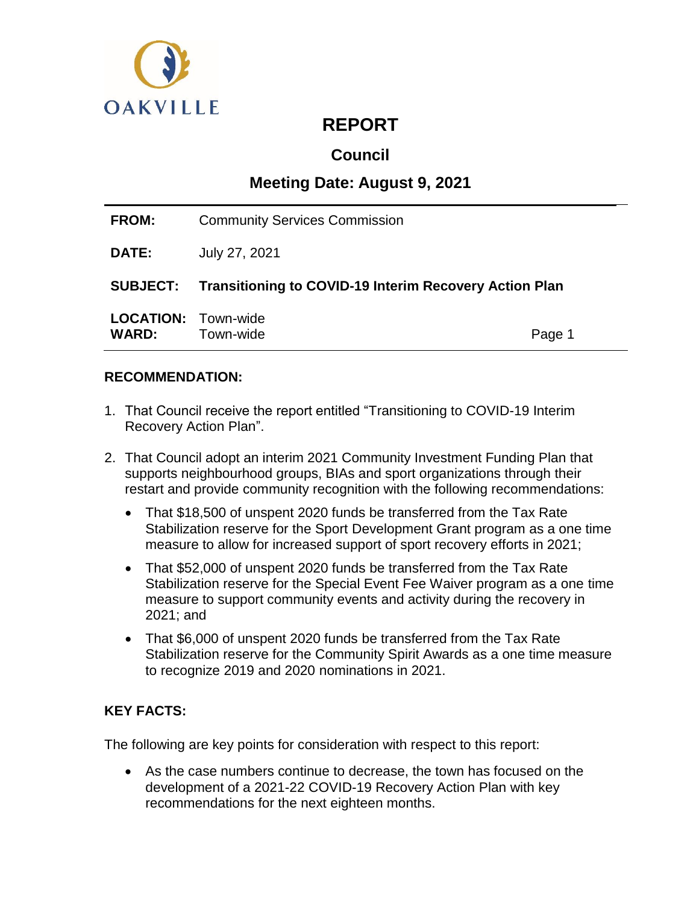

# **REPORT**

## **Council**

## **Meeting Date: August 9, 2021**

| <b>FROM:</b> | <b>Community Services Commission</b>                            |  |
|--------------|-----------------------------------------------------------------|--|
| <b>DATE:</b> | July 27, 2021                                                   |  |
|              | SUBJECT: Transitioning to COVID-19 Interim Recovery Action Plan |  |
|              |                                                                 |  |

## **RECOMMENDATION:**

- 1. That Council receive the report entitled "Transitioning to COVID-19 Interim Recovery Action Plan".
- 2. That Council adopt an interim 2021 Community Investment Funding Plan that supports neighbourhood groups, BIAs and sport organizations through their restart and provide community recognition with the following recommendations:
	- That \$18,500 of unspent 2020 funds be transferred from the Tax Rate Stabilization reserve for the Sport Development Grant program as a one time measure to allow for increased support of sport recovery efforts in 2021;
	- That \$52,000 of unspent 2020 funds be transferred from the Tax Rate Stabilization reserve for the Special Event Fee Waiver program as a one time measure to support community events and activity during the recovery in 2021; and
	- That \$6,000 of unspent 2020 funds be transferred from the Tax Rate Stabilization reserve for the Community Spirit Awards as a one time measure to recognize 2019 and 2020 nominations in 2021.

## **KEY FACTS:**

The following are key points for consideration with respect to this report:

 As the case numbers continue to decrease, the town has focused on the development of a 2021-22 COVID-19 Recovery Action Plan with key recommendations for the next eighteen months.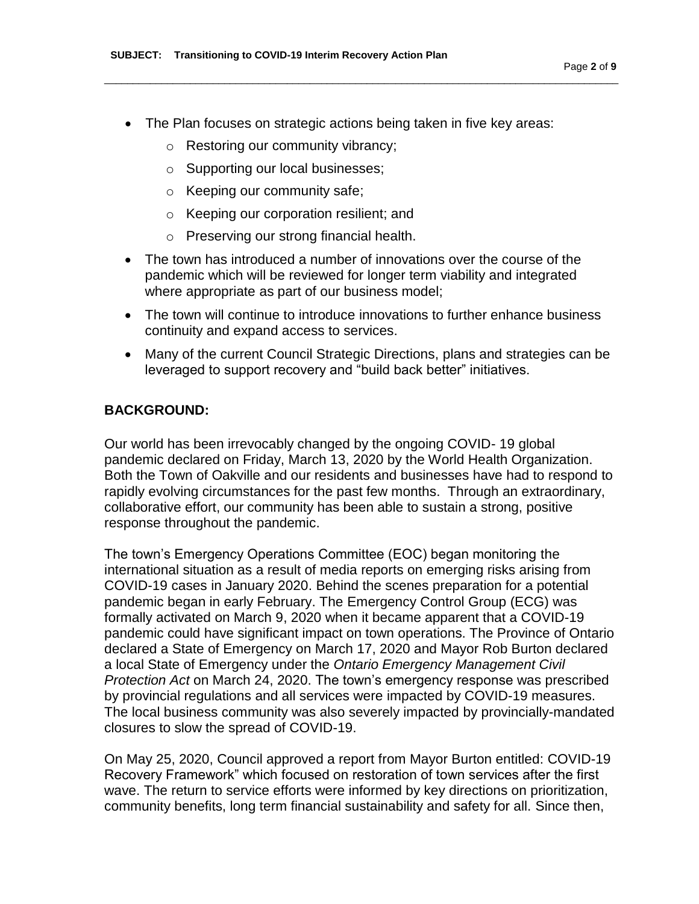• The Plan focuses on strategic actions being taken in five key areas:

\_\_\_\_\_\_\_\_\_\_\_\_\_\_\_\_\_\_\_\_\_\_\_\_\_\_\_\_\_\_\_\_\_\_\_\_\_\_\_\_\_\_\_\_\_\_\_\_\_\_\_\_\_\_\_\_\_\_\_\_\_\_\_\_\_\_\_\_\_\_\_\_\_\_\_\_\_\_\_\_\_\_\_\_\_\_\_\_\_\_

- o Restoring our community vibrancy;
- o Supporting our local businesses;
- o Keeping our community safe;
- o Keeping our corporation resilient; and
- o Preserving our strong financial health.
- The town has introduced a number of innovations over the course of the pandemic which will be reviewed for longer term viability and integrated where appropriate as part of our business model;
- The town will continue to introduce innovations to further enhance business continuity and expand access to services.
- Many of the current Council Strategic Directions, plans and strategies can be leveraged to support recovery and "build back better" initiatives.

#### **BACKGROUND:**

Our world has been irrevocably changed by the ongoing COVID- 19 global pandemic declared on Friday, March 13, 2020 by the World Health Organization. Both the Town of Oakville and our residents and businesses have had to respond to rapidly evolving circumstances for the past few months. Through an extraordinary, collaborative effort, our community has been able to sustain a strong, positive response throughout the pandemic.

The town's Emergency Operations Committee (EOC) began monitoring the international situation as a result of media reports on emerging risks arising from COVID-19 cases in January 2020. Behind the scenes preparation for a potential pandemic began in early February. The Emergency Control Group (ECG) was formally activated on March 9, 2020 when it became apparent that a COVID-19 pandemic could have significant impact on town operations. The Province of Ontario declared a State of Emergency on March 17, 2020 and Mayor Rob Burton declared a local State of Emergency under the *Ontario Emergency Management Civil Protection Act* on March 24, 2020. The town's emergency response was prescribed by provincial regulations and all services were impacted by COVID-19 measures. The local business community was also severely impacted by provincially-mandated closures to slow the spread of COVID-19.

On May 25, 2020, Council approved a report from Mayor Burton entitled: COVID-19 Recovery Framework" which focused on restoration of town services after the first wave. The return to service efforts were informed by key directions on prioritization, community benefits, long term financial sustainability and safety for all. Since then,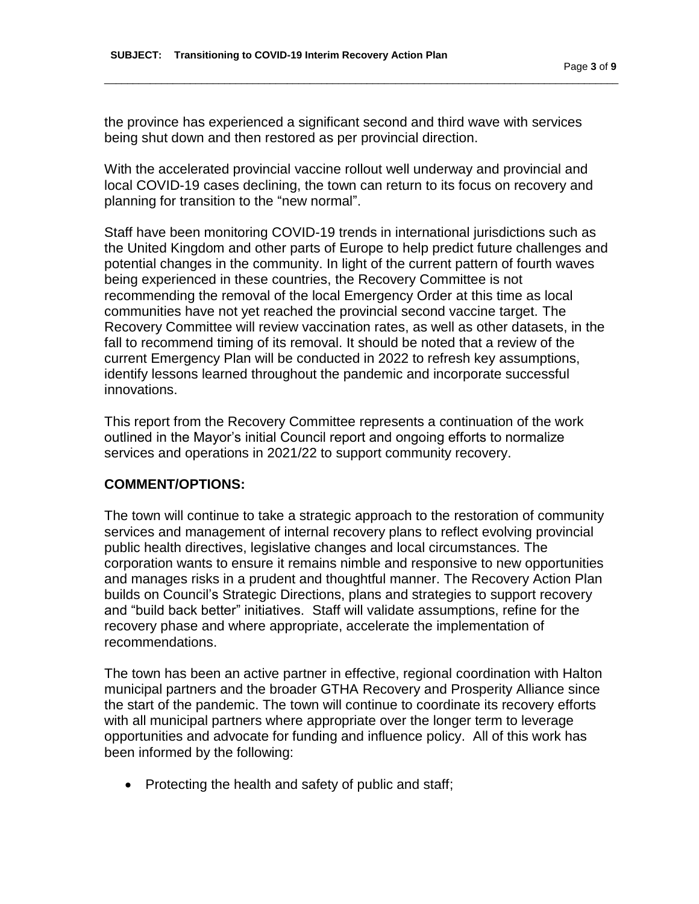the province has experienced a significant second and third wave with services being shut down and then restored as per provincial direction.

\_\_\_\_\_\_\_\_\_\_\_\_\_\_\_\_\_\_\_\_\_\_\_\_\_\_\_\_\_\_\_\_\_\_\_\_\_\_\_\_\_\_\_\_\_\_\_\_\_\_\_\_\_\_\_\_\_\_\_\_\_\_\_\_\_\_\_\_\_\_\_\_\_\_\_\_\_\_\_\_\_\_\_\_\_\_\_\_\_\_

With the accelerated provincial vaccine rollout well underway and provincial and local COVID-19 cases declining, the town can return to its focus on recovery and planning for transition to the "new normal".

Staff have been monitoring COVID-19 trends in international jurisdictions such as the United Kingdom and other parts of Europe to help predict future challenges and potential changes in the community. In light of the current pattern of fourth waves being experienced in these countries, the Recovery Committee is not recommending the removal of the local Emergency Order at this time as local communities have not yet reached the provincial second vaccine target. The Recovery Committee will review vaccination rates, as well as other datasets, in the fall to recommend timing of its removal. It should be noted that a review of the current Emergency Plan will be conducted in 2022 to refresh key assumptions, identify lessons learned throughout the pandemic and incorporate successful innovations.

This report from the Recovery Committee represents a continuation of the work outlined in the Mayor's initial Council report and ongoing efforts to normalize services and operations in 2021/22 to support community recovery.

## **COMMENT/OPTIONS:**

The town will continue to take a strategic approach to the restoration of community services and management of internal recovery plans to reflect evolving provincial public health directives, legislative changes and local circumstances. The corporation wants to ensure it remains nimble and responsive to new opportunities and manages risks in a prudent and thoughtful manner. The Recovery Action Plan builds on Council's Strategic Directions, plans and strategies to support recovery and "build back better" initiatives. Staff will validate assumptions, refine for the recovery phase and where appropriate, accelerate the implementation of recommendations.

The town has been an active partner in effective, regional coordination with Halton municipal partners and the broader GTHA Recovery and Prosperity Alliance since the start of the pandemic. The town will continue to coordinate its recovery efforts with all municipal partners where appropriate over the longer term to leverage opportunities and advocate for funding and influence policy. All of this work has been informed by the following:

• Protecting the health and safety of public and staff;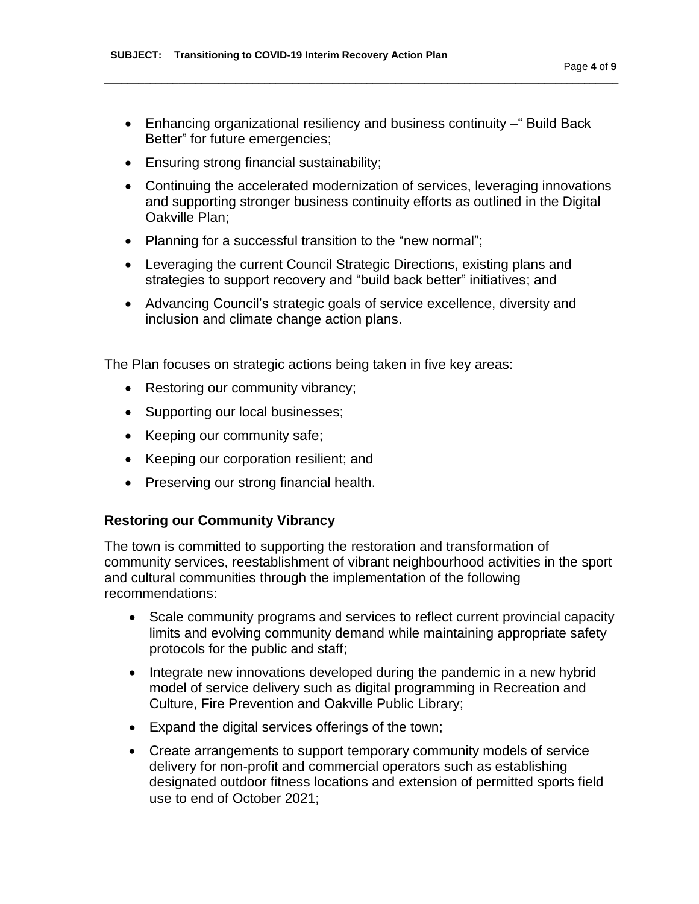Enhancing organizational resiliency and business continuity –" Build Back Better" for future emergencies;

\_\_\_\_\_\_\_\_\_\_\_\_\_\_\_\_\_\_\_\_\_\_\_\_\_\_\_\_\_\_\_\_\_\_\_\_\_\_\_\_\_\_\_\_\_\_\_\_\_\_\_\_\_\_\_\_\_\_\_\_\_\_\_\_\_\_\_\_\_\_\_\_\_\_\_\_\_\_\_\_\_\_\_\_\_\_\_\_\_\_

- Ensuring strong financial sustainability;
- Continuing the accelerated modernization of services, leveraging innovations and supporting stronger business continuity efforts as outlined in the Digital Oakville Plan;
- Planning for a successful transition to the "new normal";
- Leveraging the current Council Strategic Directions, existing plans and strategies to support recovery and "build back better" initiatives; and
- Advancing Council's strategic goals of service excellence, diversity and inclusion and climate change action plans.

The Plan focuses on strategic actions being taken in five key areas:

- Restoring our community vibrancy;
- Supporting our local businesses;
- Keeping our community safe;
- Keeping our corporation resilient; and
- Preserving our strong financial health.

#### **Restoring our Community Vibrancy**

The town is committed to supporting the restoration and transformation of community services, reestablishment of vibrant neighbourhood activities in the sport and cultural communities through the implementation of the following recommendations:

- Scale community programs and services to reflect current provincial capacity limits and evolving community demand while maintaining appropriate safety protocols for the public and staff;
- Integrate new innovations developed during the pandemic in a new hybrid model of service delivery such as digital programming in Recreation and Culture, Fire Prevention and Oakville Public Library;
- Expand the digital services offerings of the town;
- Create arrangements to support temporary community models of service delivery for non-profit and commercial operators such as establishing designated outdoor fitness locations and extension of permitted sports field use to end of October 2021;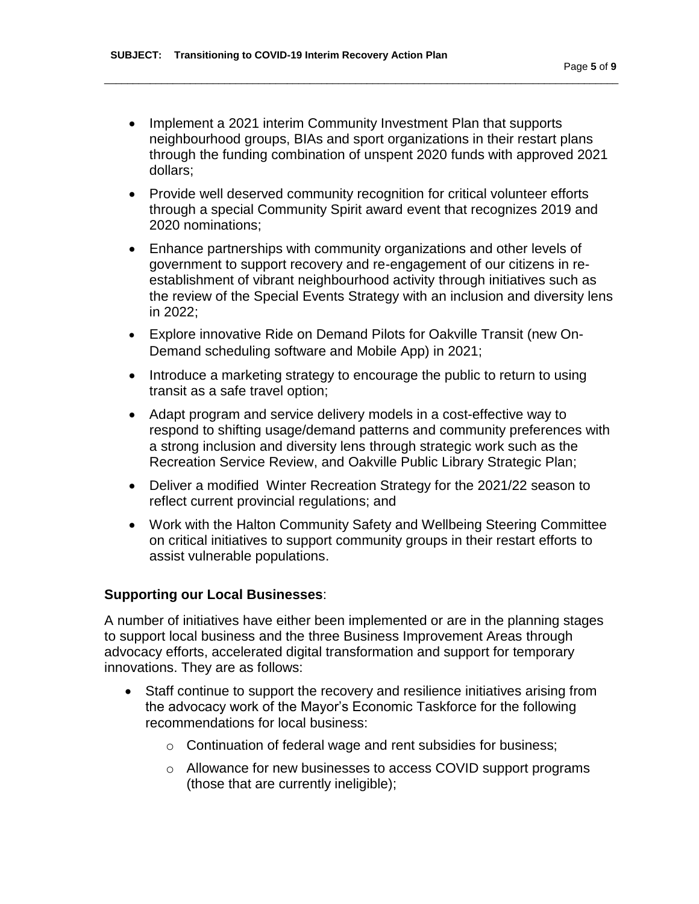• Implement a 2021 interim Community Investment Plan that supports neighbourhood groups, BIAs and sport organizations in their restart plans through the funding combination of unspent 2020 funds with approved 2021 dollars;

\_\_\_\_\_\_\_\_\_\_\_\_\_\_\_\_\_\_\_\_\_\_\_\_\_\_\_\_\_\_\_\_\_\_\_\_\_\_\_\_\_\_\_\_\_\_\_\_\_\_\_\_\_\_\_\_\_\_\_\_\_\_\_\_\_\_\_\_\_\_\_\_\_\_\_\_\_\_\_\_\_\_\_\_\_\_\_\_\_\_

- Provide well deserved community recognition for critical volunteer efforts through a special Community Spirit award event that recognizes 2019 and 2020 nominations;
- Enhance partnerships with community organizations and other levels of government to support recovery and re-engagement of our citizens in reestablishment of vibrant neighbourhood activity through initiatives such as the review of the Special Events Strategy with an inclusion and diversity lens in 2022;
- Explore innovative Ride on Demand Pilots for Oakville Transit (new On-Demand scheduling software and Mobile App) in 2021;
- Introduce a marketing strategy to encourage the public to return to using transit as a safe travel option;
- Adapt program and service delivery models in a cost-effective way to respond to shifting usage/demand patterns and community preferences with a strong inclusion and diversity lens through strategic work such as the Recreation Service Review, and Oakville Public Library Strategic Plan;
- Deliver a modified Winter Recreation Strategy for the 2021/22 season to reflect current provincial regulations; and
- Work with the Halton Community Safety and Wellbeing Steering Committee on critical initiatives to support community groups in their restart efforts to assist vulnerable populations.

## **Supporting our Local Businesses**:

A number of initiatives have either been implemented or are in the planning stages to support local business and the three Business Improvement Areas through advocacy efforts, accelerated digital transformation and support for temporary innovations. They are as follows:

- Staff continue to support the recovery and resilience initiatives arising from the advocacy work of the Mayor's Economic Taskforce for the following recommendations for local business:
	- o Continuation of federal wage and rent subsidies for business;
	- o Allowance for new businesses to access COVID support programs (those that are currently ineligible);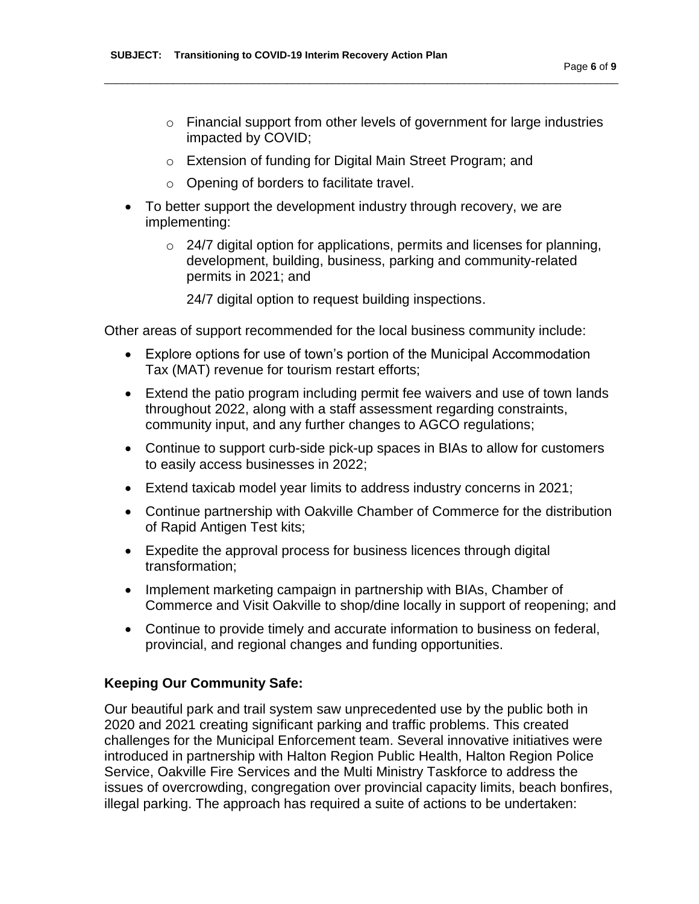- o Financial support from other levels of government for large industries impacted by COVID;
- o Extension of funding for Digital Main Street Program; and

\_\_\_\_\_\_\_\_\_\_\_\_\_\_\_\_\_\_\_\_\_\_\_\_\_\_\_\_\_\_\_\_\_\_\_\_\_\_\_\_\_\_\_\_\_\_\_\_\_\_\_\_\_\_\_\_\_\_\_\_\_\_\_\_\_\_\_\_\_\_\_\_\_\_\_\_\_\_\_\_\_\_\_\_\_\_\_\_\_\_

- o Opening of borders to facilitate travel.
- To better support the development industry through recovery, we are implementing:
	- $\circ$  24/7 digital option for applications, permits and licenses for planning, development, building, business, parking and community-related permits in 2021; and
		- 24/7 digital option to request building inspections.

Other areas of support recommended for the local business community include:

- Explore options for use of town's portion of the Municipal Accommodation Tax (MAT) revenue for tourism restart efforts;
- Extend the patio program including permit fee waivers and use of town lands throughout 2022, along with a staff assessment regarding constraints, community input, and any further changes to AGCO regulations;
- Continue to support curb-side pick-up spaces in BIAs to allow for customers to easily access businesses in 2022;
- Extend taxicab model year limits to address industry concerns in 2021;
- Continue partnership with Oakville Chamber of Commerce for the distribution of Rapid Antigen Test kits;
- Expedite the approval process for business licences through digital transformation;
- Implement marketing campaign in partnership with BIAs, Chamber of Commerce and Visit Oakville to shop/dine locally in support of reopening; and
- Continue to provide timely and accurate information to business on federal, provincial, and regional changes and funding opportunities.

#### **Keeping Our Community Safe:**

Our beautiful park and trail system saw unprecedented use by the public both in 2020 and 2021 creating significant parking and traffic problems. This created challenges for the Municipal Enforcement team. Several innovative initiatives were introduced in partnership with Halton Region Public Health, Halton Region Police Service, Oakville Fire Services and the Multi Ministry Taskforce to address the issues of overcrowding, congregation over provincial capacity limits, beach bonfires, illegal parking. The approach has required a suite of actions to be undertaken: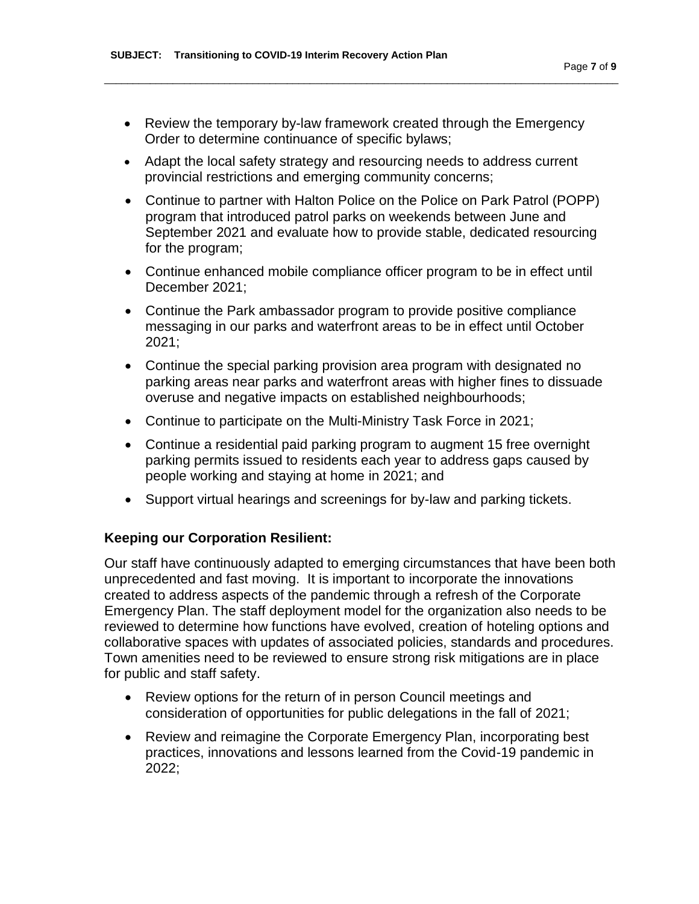• Review the temporary by-law framework created through the Emergency Order to determine continuance of specific bylaws;

\_\_\_\_\_\_\_\_\_\_\_\_\_\_\_\_\_\_\_\_\_\_\_\_\_\_\_\_\_\_\_\_\_\_\_\_\_\_\_\_\_\_\_\_\_\_\_\_\_\_\_\_\_\_\_\_\_\_\_\_\_\_\_\_\_\_\_\_\_\_\_\_\_\_\_\_\_\_\_\_\_\_\_\_\_\_\_\_\_\_

- Adapt the local safety strategy and resourcing needs to address current provincial restrictions and emerging community concerns;
- Continue to partner with Halton Police on the Police on Park Patrol (POPP) program that introduced patrol parks on weekends between June and September 2021 and evaluate how to provide stable, dedicated resourcing for the program;
- Continue enhanced mobile compliance officer program to be in effect until December 2021;
- Continue the Park ambassador program to provide positive compliance messaging in our parks and waterfront areas to be in effect until October 2021;
- Continue the special parking provision area program with designated no parking areas near parks and waterfront areas with higher fines to dissuade overuse and negative impacts on established neighbourhoods;
- Continue to participate on the Multi-Ministry Task Force in 2021;
- Continue a residential paid parking program to augment 15 free overnight parking permits issued to residents each year to address gaps caused by people working and staying at home in 2021; and
- Support virtual hearings and screenings for by-law and parking tickets.

#### **Keeping our Corporation Resilient:**

Our staff have continuously adapted to emerging circumstances that have been both unprecedented and fast moving. It is important to incorporate the innovations created to address aspects of the pandemic through a refresh of the Corporate Emergency Plan. The staff deployment model for the organization also needs to be reviewed to determine how functions have evolved, creation of hoteling options and collaborative spaces with updates of associated policies, standards and procedures. Town amenities need to be reviewed to ensure strong risk mitigations are in place for public and staff safety.

- Review options for the return of in person Council meetings and consideration of opportunities for public delegations in the fall of 2021;
- Review and reimagine the Corporate Emergency Plan, incorporating best practices, innovations and lessons learned from the Covid-19 pandemic in 2022;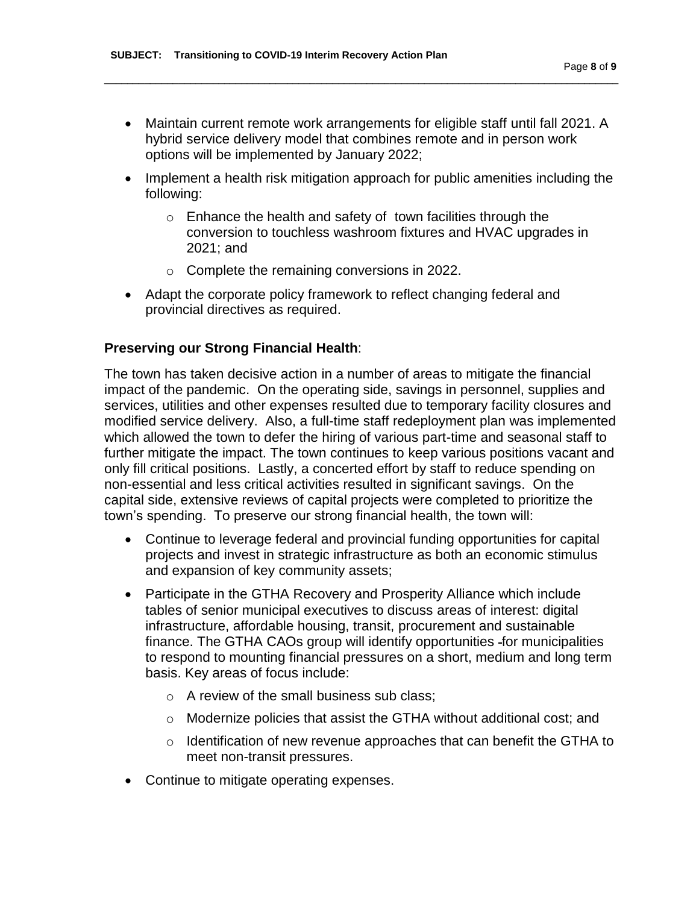Maintain current remote work arrangements for eligible staff until fall 2021. A hybrid service delivery model that combines remote and in person work options will be implemented by January 2022;

\_\_\_\_\_\_\_\_\_\_\_\_\_\_\_\_\_\_\_\_\_\_\_\_\_\_\_\_\_\_\_\_\_\_\_\_\_\_\_\_\_\_\_\_\_\_\_\_\_\_\_\_\_\_\_\_\_\_\_\_\_\_\_\_\_\_\_\_\_\_\_\_\_\_\_\_\_\_\_\_\_\_\_\_\_\_\_\_\_\_

- Implement a health risk mitigation approach for public amenities including the following:
	- o Enhance the health and safety of town facilities through the conversion to touchless washroom fixtures and HVAC upgrades in 2021; and
	- o Complete the remaining conversions in 2022.
- Adapt the corporate policy framework to reflect changing federal and provincial directives as required.

#### **Preserving our Strong Financial Health**:

The town has taken decisive action in a number of areas to mitigate the financial impact of the pandemic. On the operating side, savings in personnel, supplies and services, utilities and other expenses resulted due to temporary facility closures and modified service delivery. Also, a full-time staff redeployment plan was implemented which allowed the town to defer the hiring of various part-time and seasonal staff to further mitigate the impact. The town continues to keep various positions vacant and only fill critical positions. Lastly, a concerted effort by staff to reduce spending on non-essential and less critical activities resulted in significant savings. On the capital side, extensive reviews of capital projects were completed to prioritize the town's spending. To preserve our strong financial health, the town will:

- Continue to leverage federal and provincial funding opportunities for capital projects and invest in strategic infrastructure as both an economic stimulus and expansion of key community assets;
- Participate in the GTHA Recovery and Prosperity Alliance which include tables of senior municipal executives to discuss areas of interest: digital infrastructure, affordable housing, transit, procurement and sustainable finance. The GTHA CAOs group will identify opportunities -for municipalities to respond to mounting financial pressures on a short, medium and long term basis. Key areas of focus include:
	- o A review of the small business sub class;
	- $\circ$  Modernize policies that assist the GTHA without additional cost; and
	- $\circ$  Identification of new revenue approaches that can benefit the GTHA to meet non-transit pressures.
- Continue to mitigate operating expenses.